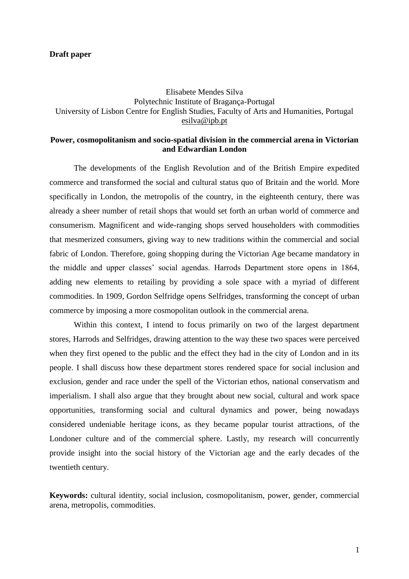## **Draft paper**

Elisabete Mendes Silva Polytechnic Institute of Bragança-Portugal University of Lisbon Centre for English Studies, Faculty of Arts and Humanities, Portugal [esilva@ipb.pt](mailto:esilva@ipb.pt)

## **Power, cosmopolitanism and socio-spatial division in the commercial arena in Victorian and Edwardian London**

The developments of the English Revolution and of the British Empire expedited commerce and transformed the social and cultural status quo of Britain and the world. More specifically in London, the metropolis of the country, in the eighteenth century, there was already a sheer number of retail shops that would set forth an urban world of commerce and consumerism. Magnificent and wide-ranging shops served householders with commodities that mesmerized consumers, giving way to new traditions within the commercial and social fabric of London. Therefore, going shopping during the Victorian Age became mandatory in the middle and upper classes" social agendas. Harrods Department store opens in 1864, adding new elements to retailing by providing a sole space with a myriad of different commodities. In 1909, Gordon Selfridge opens Selfridges, transforming the concept of urban commerce by imposing a more cosmopolitan outlook in the commercial arena.

Within this context, I intend to focus primarily on two of the largest department stores, Harrods and Selfridges, drawing attention to the way these two spaces were perceived when they first opened to the public and the effect they had in the city of London and in its people. I shall discuss how these department stores rendered space for social inclusion and exclusion, gender and race under the spell of the Victorian ethos, national conservatism and imperialism. I shall also argue that they brought about new social, cultural and work space opportunities, transforming social and cultural dynamics and power, being nowadays considered undeniable heritage icons, as they became popular tourist attractions, of the Londoner culture and of the commercial sphere. Lastly, my research will concurrently provide insight into the social history of the Victorian age and the early decades of the twentieth century.

**Keywords:** cultural identity, social inclusion, cosmopolitanism, power, gender, commercial arena, metropolis, commodities.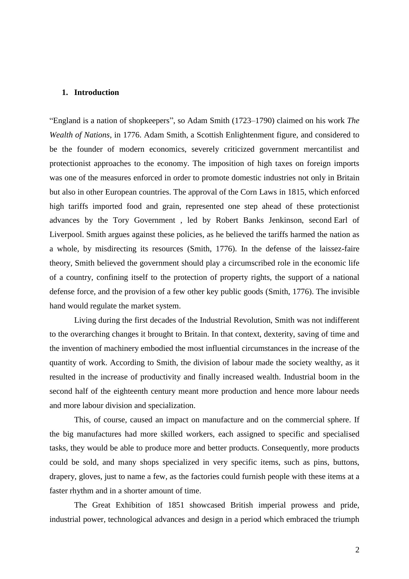## **1. Introduction**

"England is a nation of shopkeepers", so Adam Smith (1723–1790) claimed on his work *The Wealth of Nations*, in 1776. Adam Smith, a Scottish Enlightenment figure, and considered to be the founder of modern economics, severely criticized government mercantilist and protectionist approaches to the economy. The imposition of high taxes on foreign imports was one of the measures enforced in order to promote domestic industries not only in Britain but also in other European countries. The approval of the Corn Laws in 1815, which enforced high tariffs imported food and grain, represented one step ahead of these protectionist advances by the Tory Government , led by Robert Banks Jenkinson, second [Earl of](http://www.historyhome.co.uk/pms/l-pool.htm)  [Liverpool.](http://www.historyhome.co.uk/pms/l-pool.htm) Smith argues against these policies, as he believed the tariffs harmed the nation as a whole, by misdirecting its resources (Smith, 1776). In the defense of the laissez-faire theory, Smith believed the government should play a circumscribed role in the economic life of a country, confining itself to the protection of property rights, the support of a national defense force, and the provision of a few other key public goods (Smith, 1776). The invisible hand would regulate the market system.

Living during the first decades of the Industrial Revolution, Smith was not indifferent to the overarching changes it brought to Britain. In that context, dexterity, saving of time and the invention of machinery embodied the most influential circumstances in the increase of the quantity of work. According to Smith, the division of labour made the society wealthy, as it resulted in the increase of productivity and finally increased wealth. Industrial boom in the second half of the eighteenth century meant more production and hence more labour needs and more labour division and specialization.

This, of course, caused an impact on manufacture and on the commercial sphere. If the big manufactures had more skilled workers, each assigned to specific and specialised tasks, they would be able to produce more and better products. Consequently, more products could be sold, and many shops specialized in very specific items, such as pins, buttons, drapery, gloves, just to name a few, as the factories could furnish people with these items at a faster rhythm and in a shorter amount of time.

The Great Exhibition of 1851 showcased British imperial prowess and pride, industrial power, technological advances and design in a period which embraced the triumph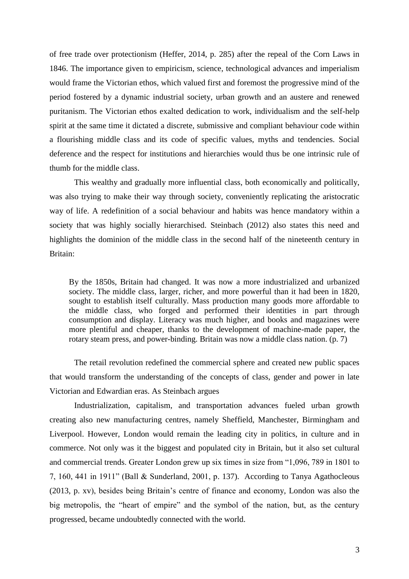of free trade over protectionism (Heffer, 2014, p. 285) after the repeal of the Corn Laws in 1846. The importance given to empiricism, science, technological advances and imperialism would frame the Victorian ethos, which valued first and foremost the progressive mind of the period fostered by a dynamic industrial society, urban growth and an austere and renewed puritanism. The Victorian ethos exalted dedication to work, individualism and the self-help spirit at the same time it dictated a discrete, submissive and compliant behaviour code within a flourishing middle class and its code of specific values, myths and tendencies. Social deference and the respect for institutions and hierarchies would thus be one intrinsic rule of thumb for the middle class.

This wealthy and gradually more influential class, both economically and politically, was also trying to make their way through society, conveniently replicating the aristocratic way of life. A redefinition of a social behaviour and habits was hence mandatory within a society that was highly socially hierarchised. Steinbach (2012) also states this need and highlights the dominion of the middle class in the second half of the nineteenth century in Britain:

By the 1850s, Britain had changed. It was now a more industrialized and urbanized society. The middle class, larger, richer, and more powerful than it had been in 1820, sought to establish itself culturally. Mass production many goods more affordable to the middle class, who forged and performed their identities in part through consumption and display. Literacy was much higher, and books and magazines were more plentiful and cheaper, thanks to the development of machine-made paper, the rotary steam press, and power-binding. Britain was now a middle class nation. (p. 7)

The retail revolution redefined the commercial sphere and created new public spaces that would transform the understanding of the concepts of class, gender and power in late Victorian and Edwardian eras. As Steinbach argues

Industrialization, capitalism, and transportation advances fueled urban growth creating also new manufacturing centres, namely Sheffield, Manchester, Birmingham and Liverpool. However, London would remain the leading city in politics, in culture and in commerce. Not only was it the biggest and populated city in Britain, but it also set cultural and commercial trends. Greater London grew up six times in size from "1,096, 789 in 1801 to 7, 160, 441 in 1911" (Ball & Sunderland, 2001, p. 137). According to Tanya Agathocleous (2013, p. xv), besides being Britain"s centre of finance and economy, London was also the big metropolis, the "heart of empire" and the symbol of the nation, but, as the century progressed, became undoubtedly connected with the world.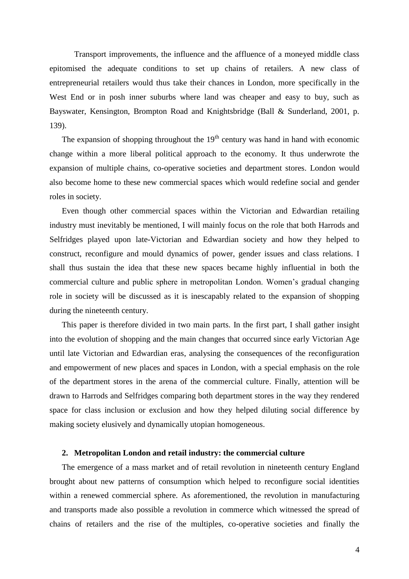Transport improvements, the influence and the affluence of a moneyed middle class epitomised the adequate conditions to set up chains of retailers. A new class of entrepreneurial retailers would thus take their chances in London, more specifically in the West End or in posh inner suburbs where land was cheaper and easy to buy, such as Bayswater, Kensington, Brompton Road and Knightsbridge (Ball & Sunderland, 2001, p. 139).

The expansion of shopping throughout the  $19<sup>th</sup>$  century was hand in hand with economic change within a more liberal political approach to the economy. It thus underwrote the expansion of multiple chains, co-operative societies and department stores. London would also become home to these new commercial spaces which would redefine social and gender roles in society.

Even though other commercial spaces within the Victorian and Edwardian retailing industry must inevitably be mentioned, I will mainly focus on the role that both Harrods and Selfridges played upon late-Victorian and Edwardian society and how they helped to construct, reconfigure and mould dynamics of power, gender issues and class relations. I shall thus sustain the idea that these new spaces became highly influential in both the commercial culture and public sphere in metropolitan London. Women"s gradual changing role in society will be discussed as it is inescapably related to the expansion of shopping during the nineteenth century.

This paper is therefore divided in two main parts. In the first part, I shall gather insight into the evolution of shopping and the main changes that occurred since early Victorian Age until late Victorian and Edwardian eras, analysing the consequences of the reconfiguration and empowerment of new places and spaces in London, with a special emphasis on the role of the department stores in the arena of the commercial culture. Finally, attention will be drawn to Harrods and Selfridges comparing both department stores in the way they rendered space for class inclusion or exclusion and how they helped diluting social difference by making society elusively and dynamically utopian homogeneous.

## **2. Metropolitan London and retail industry: the commercial culture**

The emergence of a mass market and of retail revolution in nineteenth century England brought about new patterns of consumption which helped to reconfigure social identities within a renewed commercial sphere. As aforementioned, the revolution in manufacturing and transports made also possible a revolution in commerce which witnessed the spread of chains of retailers and the rise of the multiples, co-operative societies and finally the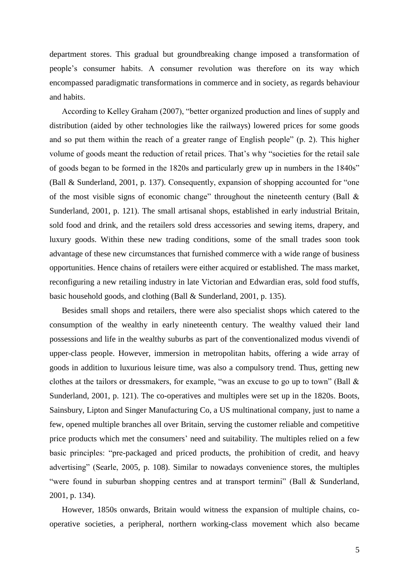department stores. This gradual but groundbreaking change imposed a transformation of people"s consumer habits. A consumer revolution was therefore on its way which encompassed paradigmatic transformations in commerce and in society, as regards behaviour and habits.

According to Kelley Graham (2007), "better organized production and lines of supply and distribution (aided by other technologies like the railways) lowered prices for some goods and so put them within the reach of a greater range of English people" (p. 2). This higher volume of goods meant the reduction of retail prices. That"s why "societies for the retail sale of goods began to be formed in the 1820s and particularly grew up in numbers in the 1840s" (Ball & Sunderland, 2001, p. 137). Consequently, expansion of shopping accounted for "one of the most visible signs of economic change" throughout the nineteenth century (Ball & Sunderland, 2001, p. 121). The small artisanal shops, established in early industrial Britain, sold food and drink, and the retailers sold dress accessories and sewing items, drapery, and luxury goods. Within these new trading conditions, some of the small trades soon took advantage of these new circumstances that furnished commerce with a wide range of business opportunities. Hence chains of retailers were either acquired or established. The mass market, reconfiguring a new retailing industry in late Victorian and Edwardian eras, sold food stuffs, basic household goods, and clothing (Ball & Sunderland, 2001, p. 135).

Besides small shops and retailers, there were also specialist shops which catered to the consumption of the wealthy in early nineteenth century. The wealthy valued their land possessions and life in the wealthy suburbs as part of the conventionalized modus vivendi of upper-class people. However, immersion in metropolitan habits, offering a wide array of goods in addition to luxurious leisure time, was also a compulsory trend. Thus, getting new clothes at the tailors or dressmakers, for example, "was an excuse to go up to town" (Ball & Sunderland, 2001, p. 121). The co-operatives and multiples were set up in the 1820s. Boots, Sainsbury, Lipton and Singer Manufacturing Co, a US multinational company, just to name a few, opened multiple branches all over Britain, serving the customer reliable and competitive price products which met the consumers' need and suitability. The multiples relied on a few basic principles: "pre-packaged and priced products, the prohibition of credit, and heavy advertising" (Searle, 2005, p. 108). Similar to nowadays convenience stores, the multiples "were found in suburban shopping centres and at transport termini" (Ball & Sunderland, 2001, p. 134).

However, 1850s onwards, Britain would witness the expansion of multiple chains, cooperative societies, a peripheral, northern working-class movement which also became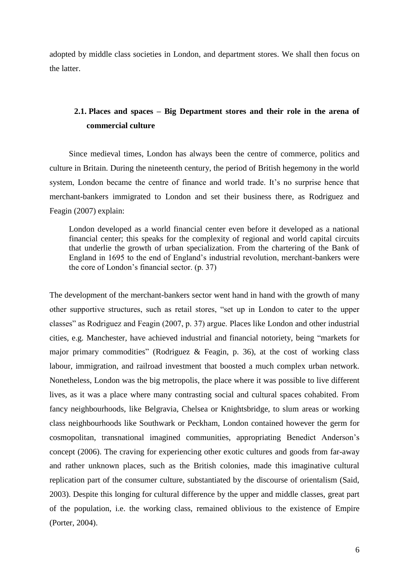adopted by middle class societies in London, and department stores. We shall then focus on the latter.

# **2.1. Places and spaces – Big Department stores and their role in the arena of commercial culture**

Since medieval times, London has always been the centre of commerce, politics and culture in Britain. During the nineteenth century, the period of British hegemony in the world system, London became the centre of finance and world trade. It's no surprise hence that merchant-bankers immigrated to London and set their business there, as Rodriguez and Feagin (2007) explain:

London developed as a world financial center even before it developed as a national financial center; this speaks for the complexity of regional and world capital circuits that underlie the growth of urban specialization. From the chartering of the Bank of England in 1695 to the end of England"s industrial revolution, merchant-bankers were the core of London"s financial sector. (p. 37)

The development of the merchant-bankers sector went hand in hand with the growth of many other supportive structures, such as retail stores, "set up in London to cater to the upper classes" as Rodriguez and Feagin (2007, p. 37) argue. Places like London and other industrial cities, e.g. Manchester, have achieved industrial and financial notoriety, being "markets for major primary commodities" (Rodriguez & Feagin, p. 36), at the cost of working class labour, immigration, and railroad investment that boosted a much complex urban network. Nonetheless, London was the big metropolis, the place where it was possible to live different lives, as it was a place where many contrasting social and cultural spaces cohabited. From fancy neighbourhoods, like Belgravia, Chelsea or Knightsbridge, to slum areas or working class neighbourhoods like Southwark or Peckham, London contained however the germ for cosmopolitan, transnational imagined communities, appropriating Benedict Anderson"s concept (2006). The craving for experiencing other exotic cultures and goods from far-away and rather unknown places, such as the British colonies, made this imaginative cultural replication part of the consumer culture, substantiated by the discourse of orientalism (Said, 2003). Despite this longing for cultural difference by the upper and middle classes, great part of the population, i.e. the working class, remained oblivious to the existence of Empire (Porter, 2004).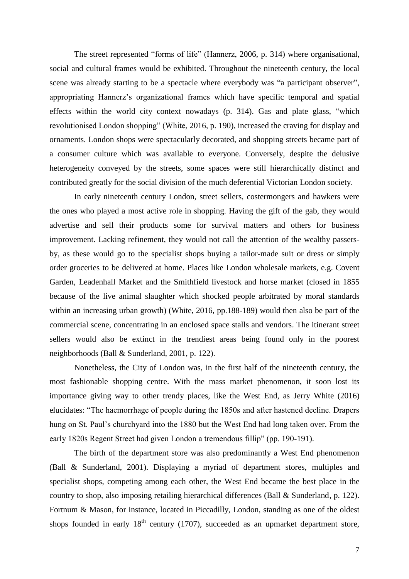The street represented "forms of life" (Hannerz, 2006, p. 314) where organisational, social and cultural frames would be exhibited. Throughout the nineteenth century, the local scene was already starting to be a spectacle where everybody was "a participant observer", appropriating Hannerz"s organizational frames which have specific temporal and spatial effects within the world city context nowadays (p. 314). Gas and plate glass, "which revolutionised London shopping" (White, 2016, p. 190), increased the craving for display and ornaments. London shops were spectacularly decorated, and shopping streets became part of a consumer culture which was available to everyone. Conversely, despite the delusive heterogeneity conveyed by the streets, some spaces were still hierarchically distinct and contributed greatly for the social division of the much deferential Victorian London society.

In early nineteenth century London, street sellers, costermongers and hawkers were the ones who played a most active role in shopping. Having the gift of the gab, they would advertise and sell their products some for survival matters and others for business improvement. Lacking refinement, they would not call the attention of the wealthy passersby, as these would go to the specialist shops buying a tailor-made suit or dress or simply order groceries to be delivered at home. Places like London wholesale markets, e.g. Covent Garden, Leadenhall Market and the Smithfield livestock and horse market (closed in 1855 because of the live animal slaughter which shocked people arbitrated by moral standards within an increasing urban growth) (White, 2016, pp.188-189) would then also be part of the commercial scene, concentrating in an enclosed space stalls and vendors. The itinerant street sellers would also be extinct in the trendiest areas being found only in the poorest neighborhoods (Ball & Sunderland, 2001, p. 122).

Nonetheless, the City of London was, in the first half of the nineteenth century, the most fashionable shopping centre. With the mass market phenomenon, it soon lost its importance giving way to other trendy places, like the West End, as Jerry White (2016) elucidates: "The haemorrhage of people during the 1850s and after hastened decline. Drapers hung on St. Paul"s churchyard into the 1880 but the West End had long taken over. From the early 1820s Regent Street had given London a tremendous fillip" (pp. 190-191).

The birth of the department store was also predominantly a West End phenomenon (Ball & Sunderland, 2001). Displaying a myriad of department stores, multiples and specialist shops, competing among each other, the West End became the best place in the country to shop, also imposing retailing hierarchical differences (Ball & Sunderland, p. 122). Fortnum & Mason, for instance, located in Piccadilly, London, standing as one of the oldest shops founded in early  $18<sup>th</sup>$  century (1707), succeeded as an upmarket department store,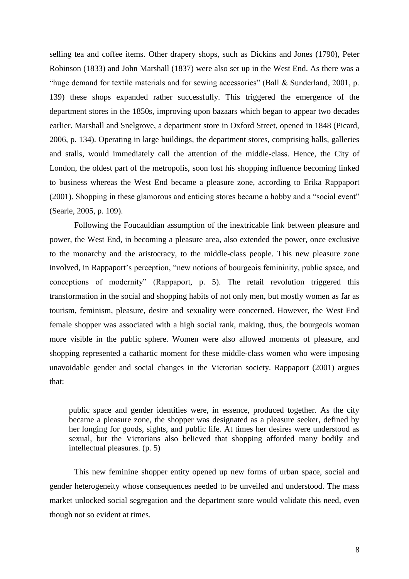selling tea and coffee items. Other drapery shops, such as Dickins and Jones (1790), Peter Robinson (1833) and John Marshall (1837) were also set up in the West End. As there was a "huge demand for textile materials and for sewing accessories" (Ball  $&$  Sunderland, 2001, p. 139) these shops expanded rather successfully. This triggered the emergence of the department stores in the 1850s, improving upon bazaars which began to appear two decades earlier. Marshall and Snelgrove, a department store in Oxford Street, opened in 1848 (Picard, 2006, p. 134). Operating in large buildings, the department stores, comprising halls, galleries and stalls, would immediately call the attention of the middle-class. Hence, the City of London, the oldest part of the metropolis, soon lost his shopping influence becoming linked to business whereas the West End became a pleasure zone, according to Erika Rappaport (2001). Shopping in these glamorous and enticing stores became a hobby and a "social event" (Searle, 2005, p. 109).

Following the Foucauldian assumption of the inextricable link between pleasure and power, the West End, in becoming a pleasure area, also extended the power, once exclusive to the monarchy and the aristocracy, to the middle-class people. This new pleasure zone involved, in Rappaport's perception, "new notions of bourgeois femininity, public space, and conceptions of modernity" (Rappaport, p. 5). The retail revolution triggered this transformation in the social and shopping habits of not only men, but mostly women as far as tourism, feminism, pleasure, desire and sexuality were concerned. However, the West End female shopper was associated with a high social rank, making, thus, the bourgeois woman more visible in the public sphere. Women were also allowed moments of pleasure, and shopping represented a cathartic moment for these middle-class women who were imposing unavoidable gender and social changes in the Victorian society. Rappaport (2001) argues that:

public space and gender identities were, in essence, produced together. As the city became a pleasure zone, the shopper was designated as a pleasure seeker, defined by her longing for goods, sights, and public life. At times her desires were understood as sexual, but the Victorians also believed that shopping afforded many bodily and intellectual pleasures. (p. 5)

This new feminine shopper entity opened up new forms of urban space, social and gender heterogeneity whose consequences needed to be unveiled and understood. The mass market unlocked social segregation and the department store would validate this need, even though not so evident at times.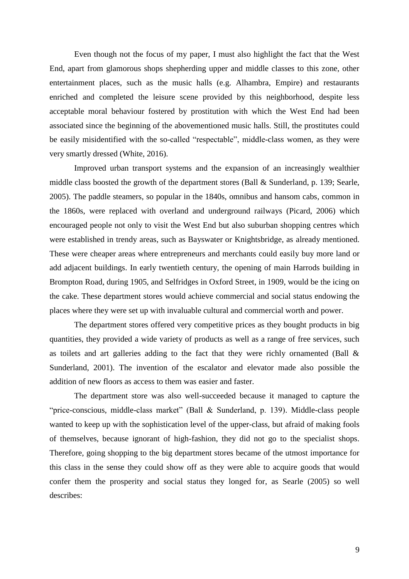Even though not the focus of my paper, I must also highlight the fact that the West End, apart from glamorous shops shepherding upper and middle classes to this zone, other entertainment places, such as the music halls (e.g. Alhambra, Empire) and restaurants enriched and completed the leisure scene provided by this neighborhood, despite less acceptable moral behaviour fostered by prostitution with which the West End had been associated since the beginning of the abovementioned music halls. Still, the prostitutes could be easily misidentified with the so-called "respectable", middle-class women, as they were very smartly dressed (White, 2016).

Improved urban transport systems and the expansion of an increasingly wealthier middle class boosted the growth of the department stores (Ball & Sunderland, p. 139; Searle, 2005). The paddle steamers, so popular in the 1840s, omnibus and hansom cabs, common in the 1860s, were replaced with overland and underground railways (Picard, 2006) which encouraged people not only to visit the West End but also suburban shopping centres which were established in trendy areas, such as Bayswater or Knightsbridge, as already mentioned. These were cheaper areas where entrepreneurs and merchants could easily buy more land or add adjacent buildings. In early twentieth century, the opening of main Harrods building in Brompton Road, during 1905, and Selfridges in Oxford Street, in 1909, would be the icing on the cake. These department stores would achieve commercial and social status endowing the places where they were set up with invaluable cultural and commercial worth and power.

The department stores offered very competitive prices as they bought products in big quantities, they provided a wide variety of products as well as a range of free services, such as toilets and art galleries adding to the fact that they were richly ornamented (Ball & Sunderland, 2001). The invention of the escalator and elevator made also possible the addition of new floors as access to them was easier and faster.

The department store was also well-succeeded because it managed to capture the "price-conscious, middle-class market" (Ball & Sunderland, p. 139). Middle-class people wanted to keep up with the sophistication level of the upper-class, but afraid of making fools of themselves, because ignorant of high-fashion, they did not go to the specialist shops. Therefore, going shopping to the big department stores became of the utmost importance for this class in the sense they could show off as they were able to acquire goods that would confer them the prosperity and social status they longed for, as Searle (2005) so well describes: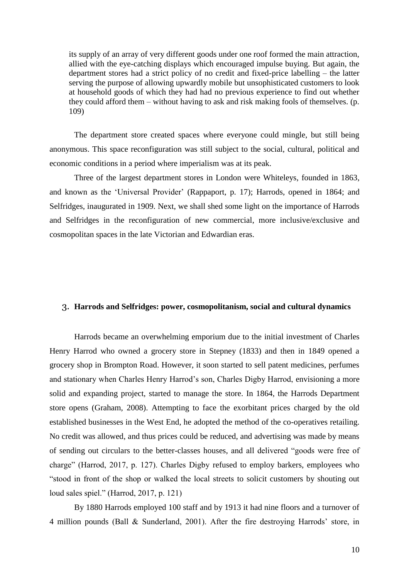its supply of an array of very different goods under one roof formed the main attraction, allied with the eye-catching displays which encouraged impulse buying. But again, the department stores had a strict policy of no credit and fixed-price labelling – the latter serving the purpose of allowing upwardly mobile but unsophisticated customers to look at household goods of which they had had no previous experience to find out whether they could afford them – without having to ask and risk making fools of themselves. (p. 109)

The department store created spaces where everyone could mingle, but still being anonymous. This space reconfiguration was still subject to the social, cultural, political and economic conditions in a period where imperialism was at its peak.

Three of the largest department stores in London were Whiteleys, founded in 1863, and known as the "Universal Provider" (Rappaport, p. 17); Harrods, opened in 1864; and Selfridges, inaugurated in 1909. Next, we shall shed some light on the importance of Harrods and Selfridges in the reconfiguration of new commercial, more inclusive/exclusive and cosmopolitan spaces in the late Victorian and Edwardian eras.

#### 3. **Harrods and Selfridges: power, cosmopolitanism, social and cultural dynamics**

Harrods became an overwhelming emporium due to the initial investment of Charles Henry Harrod who owned a grocery store in Stepney (1833) and then in 1849 opened a grocery shop in Brompton Road. However, it soon started to sell patent medicines, perfumes and stationary when Charles Henry Harrod's son, Charles Digby Harrod, envisioning a more solid and expanding project, started to manage the store. In 1864, the Harrods Department store opens (Graham, 2008). Attempting to face the exorbitant prices charged by the old established businesses in the West End, he adopted the method of the co-operatives retailing. No credit was allowed, and thus prices could be reduced, and advertising was made by means of sending out circulars to the better-classes houses, and all delivered "goods were free of charge" (Harrod, 2017, p. 127). Charles Digby refused to employ barkers, employees who "stood in front of the shop or walked the local streets to solicit customers by shouting out loud sales spiel." (Harrod, 2017, p. 121)

By 1880 Harrods employed 100 staff and by 1913 it had nine floors and a turnover of 4 million pounds (Ball & Sunderland, 2001). After the fire destroying Harrods" store, in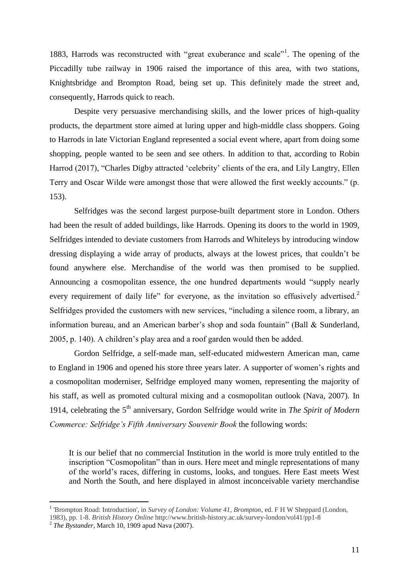1883, Harrods was reconstructed with "great exuberance and scale"<sup>1</sup>. The opening of the Piccadilly tube railway in 1906 raised the importance of this area, with two stations, Knightsbridge and Brompton Road, being set up. This definitely made the street and, consequently, Harrods quick to reach.

Despite very persuasive merchandising skills, and the lower prices of high-quality products, the department store aimed at luring upper and high-middle class shoppers. Going to Harrods in late Victorian England represented a social event where, apart from doing some shopping, people wanted to be seen and see others. In addition to that, according to Robin Harrod (2017), "Charles Digby attracted 'celebrity' clients of the era, and Lily Langtry, Ellen Terry and Oscar Wilde were amongst those that were allowed the first weekly accounts." (p. 153).

Selfridges was the second largest purpose-built department store in London. Others had been the result of added buildings, like Harrods. Opening its doors to the world in 1909, Selfridges intended to deviate customers from Harrods and Whiteleys by introducing window dressing displaying a wide array of products, always at the lowest prices, that couldn"t be found anywhere else. Merchandise of the world was then promised to be supplied. Announcing a cosmopolitan essence, the one hundred departments would "supply nearly every requirement of daily life" for everyone, as the invitation so effusively advertised. $2$ Selfridges provided the customers with new services, "including a silence room, a library, an information bureau, and an American barber"s shop and soda fountain" (Ball & Sunderland, 2005, p. 140). A children"s play area and a roof garden would then be added.

Gordon Selfridge, a self-made man, self-educated midwestern American man, came to England in 1906 and opened his store three years later. A supporter of women"s rights and a cosmopolitan moderniser, Selfridge employed many women, representing the majority of his staff, as well as promoted cultural mixing and a cosmopolitan outlook (Nava, 2007). In 1914, celebrating the 5th anniversary, Gordon Selfridge would write in *The Spirit of Modern Commerce: Selfridge's Fifth Anniversary Souvenir Book* the following words:

It is our belief that no commercial Institution in the world is more truly entitled to the inscription "Cosmopolitan" than in ours. Here meet and mingle representations of many of the world"s races, differing in customs, looks, and tongues. Here East meets West and North the South, and here displayed in almost inconceivable variety merchandise

1983), pp. 1-8. *British History Online* http://www.british-history.ac.uk/survey-london/vol41/pp1-8

 $\overline{a}$ 

<sup>&</sup>lt;sup>1</sup> 'Brompton Road: Introduction', in *Survey of London: Volume 41, Brompton*, ed. F H W Sheppard (London,

 $^2$  The Bystander, March 10, 1909 apud Nava (2007).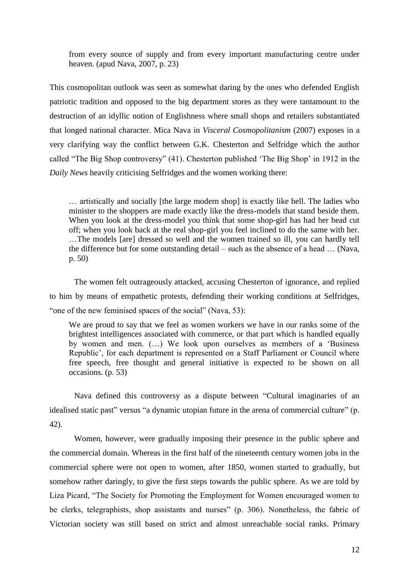from every source of supply and from every important manufacturing centre under heaven. (apud Nava, 2007, p. 23)

This cosmopolitan outlook was seen as somewhat daring by the ones who defended English patriotic tradition and opposed to the big department stores as they were tantamount to the destruction of an idyllic notion of Englishness where small shops and retailers substantiated that longed national character. Mica Nava in *Visceral Cosmopolitanism* (2007) exposes in a very clarifying way the conflict between G.K. Chesterton and Selfridge which the author called "The Big Shop controversy" (41). Chesterton published "The Big Shop" in 1912 in the *Daily News* heavily criticising Selfridges and the women working there:

… artistically and socially [the large modern shop] is exactly like hell. The ladies who minister to the shoppers are made exactly like the dress-models that stand beside them. When you look at the dress-model you think that some shop-girl has had her head cut off; when you look back at the real shop-girl you feel inclined to do the same with her. …The models [are] dressed so well and the women trained so ill, you can hardly tell the difference but for some outstanding detail – such as the absence of a head … (Nava, p. 50)

The women felt outrageously attacked, accusing Chesterton of ignorance, and replied to him by means of empathetic protests, defending their working conditions at Selfridges, "one of the new feminised spaces of the social" (Nava, 53):

We are proud to say that we feel as women workers we have in our ranks some of the brightest intelligences associated with commerce, or that part which is handled equally by women and men. (…) We look upon ourselves as members of a "Business Republic', for each department is represented on a Staff Parliament or Council where free speech, free thought and general initiative is expected to be shown on all occasions. (p. 53)

Nava defined this controversy as a dispute between "Cultural imaginaries of an idealised static past" versus "a dynamic utopian future in the arena of commercial culture" (p. 42).

Women, however, were gradually imposing their presence in the public sphere and the commercial domain. Whereas in the first half of the nineteenth century women jobs in the commercial sphere were not open to women, after 1850, women started to gradually, but somehow rather daringly, to give the first steps towards the public sphere. As we are told by Liza Picard, "The Society for Promoting the Employment for Women encouraged women to be clerks, telegraphists, shop assistants and nurses" (p. 306). Nonetheless, the fabric of Victorian society was still based on strict and almost unreachable social ranks. Primary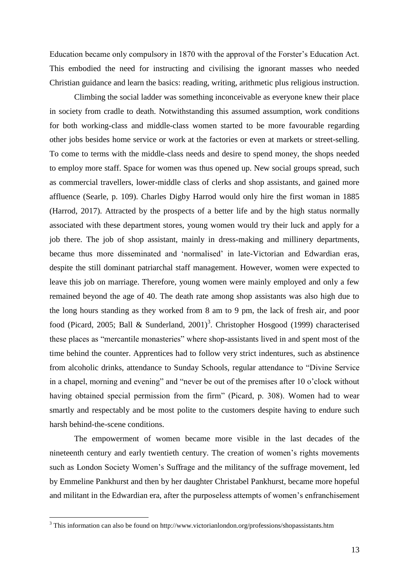Education became only compulsory in 1870 with the approval of the Forster"s Education Act. This embodied the need for instructing and civilising the ignorant masses who needed Christian guidance and learn the basics: reading, writing, arithmetic plus religious instruction.

Climbing the social ladder was something inconceivable as everyone knew their place in society from cradle to death. Notwithstanding this assumed assumption, work conditions for both working-class and middle-class women started to be more favourable regarding other jobs besides home service or work at the factories or even at markets or street-selling. To come to terms with the middle-class needs and desire to spend money, the shops needed to employ more staff. Space for women was thus opened up. New social groups spread, such as commercial travellers, lower-middle class of clerks and shop assistants, and gained more affluence (Searle, p. 109). Charles Digby Harrod would only hire the first woman in 1885 (Harrod, 2017). Attracted by the prospects of a better life and by the high status normally associated with these department stores, young women would try their luck and apply for a job there. The job of shop assistant, mainly in dress-making and millinery departments, became thus more disseminated and "normalised" in late-Victorian and Edwardian eras, despite the still dominant patriarchal staff management. However, women were expected to leave this job on marriage. Therefore, young women were mainly employed and only a few remained beyond the age of 40. The death rate among shop assistants was also high due to the long hours standing as they worked from 8 am to 9 pm, the lack of fresh air, and poor food (Picard, 2005; Ball & Sunderland, 2001)<sup>3</sup>. Christopher Hosgood (1999) characterised these places as "mercantile monasteries" where shop-assistants lived in and spent most of the time behind the counter. Apprentices had to follow very strict indentures, such as abstinence from alcoholic drinks, attendance to Sunday Schools, regular attendance to "Divine Service in a chapel, morning and evening" and "never be out of the premises after 10 o"clock without having obtained special permission from the firm" (Picard, p. 308). Women had to wear smartly and respectably and be most polite to the customers despite having to endure such harsh behind-the-scene conditions.

The empowerment of women became more visible in the last decades of the nineteenth century and early twentieth century. The creation of women"s rights movements such as London Society Women's Suffrage and the militancy of the suffrage movement, led by Emmeline Pankhurst and then by her daughter Christabel Pankhurst, became more hopeful and militant in the Edwardian era, after the purposeless attempts of women"s enfranchisement

 $\overline{a}$ 

 $3$  This information can also be found on http://www.victorianlondon.org/professions/shopassistants.htm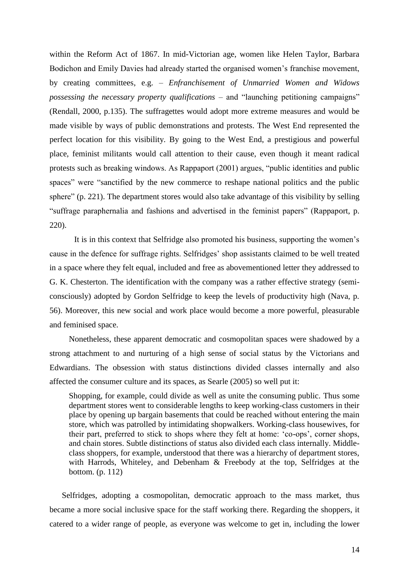within the Reform Act of 1867. In mid-Victorian age, women like Helen Taylor, Barbara Bodichon and Emily Davies had already started the organised women's franchise movement, by creating committees, e.g. – *Enfranchisement of Unmarried Women and Widows possessing the necessary property qualifications* – and "launching petitioning campaigns" (Rendall, 2000, p.135). The suffragettes would adopt more extreme measures and would be made visible by ways of public demonstrations and protests. The West End represented the perfect location for this visibility. By going to the West End, a prestigious and powerful place, feminist militants would call attention to their cause, even though it meant radical protests such as breaking windows. As Rappaport (2001) argues, "public identities and public spaces" were "sanctified by the new commerce to reshape national politics and the public sphere" (p. 221). The department stores would also take advantage of this visibility by selling "suffrage paraphernalia and fashions and advertised in the feminist papers" (Rappaport, p. 220).

It is in this context that Selfridge also promoted his business, supporting the women"s cause in the defence for suffrage rights. Selfridges" shop assistants claimed to be well treated in a space where they felt equal, included and free as abovementioned letter they addressed to G. K. Chesterton. The identification with the company was a rather effective strategy (semiconsciously) adopted by Gordon Selfridge to keep the levels of productivity high (Nava, p. 56). Moreover, this new social and work place would become a more powerful, pleasurable and feminised space.

Nonetheless, these apparent democratic and cosmopolitan spaces were shadowed by a strong attachment to and nurturing of a high sense of social status by the Victorians and Edwardians. The obsession with status distinctions divided classes internally and also affected the consumer culture and its spaces, as Searle (2005) so well put it:

Shopping, for example, could divide as well as unite the consuming public. Thus some department stores went to considerable lengths to keep working-class customers in their place by opening up bargain basements that could be reached without entering the main store, which was patrolled by intimidating shopwalkers. Working-class housewives, for their part, preferred to stick to shops where they felt at home: 'co-ops', corner shops, and chain stores. Subtle distinctions of status also divided each class internally. Middleclass shoppers, for example, understood that there was a hierarchy of department stores, with Harrods, Whiteley, and Debenham & Freebody at the top, Selfridges at the bottom. (p. 112)

Selfridges, adopting a cosmopolitan, democratic approach to the mass market, thus became a more social inclusive space for the staff working there. Regarding the shoppers, it catered to a wider range of people, as everyone was welcome to get in, including the lower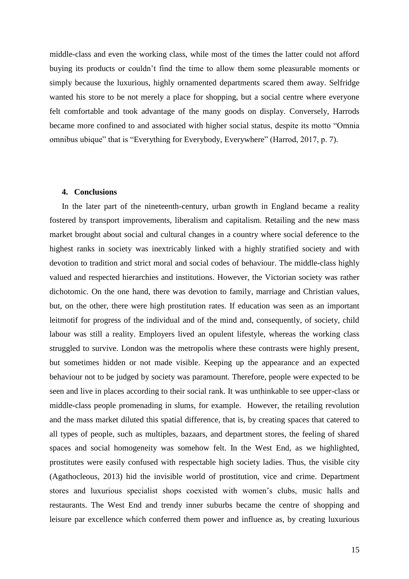middle-class and even the working class, while most of the times the latter could not afford buying its products or couldn"t find the time to allow them some pleasurable moments or simply because the luxurious, highly ornamented departments scared them away. Selfridge wanted his store to be not merely a place for shopping, but a social centre where everyone felt comfortable and took advantage of the many goods on display. Conversely, Harrods became more confined to and associated with higher social status, despite its motto "Omnia omnibus ubique" that is "Everything for Everybody, Everywhere" (Harrod, 2017, p. 7).

## **4. Conclusions**

In the later part of the nineteenth-century, urban growth in England became a reality fostered by transport improvements, liberalism and capitalism. Retailing and the new mass market brought about social and cultural changes in a country where social deference to the highest ranks in society was inextricably linked with a highly stratified society and with devotion to tradition and strict moral and social codes of behaviour. The middle-class highly valued and respected hierarchies and institutions. However, the Victorian society was rather dichotomic. On the one hand, there was devotion to family, marriage and Christian values, but, on the other, there were high prostitution rates. If education was seen as an important leitmotif for progress of the individual and of the mind and, consequently, of society, child labour was still a reality. Employers lived an opulent lifestyle, whereas the working class struggled to survive. London was the metropolis where these contrasts were highly present, but sometimes hidden or not made visible. Keeping up the appearance and an expected behaviour not to be judged by society was paramount. Therefore, people were expected to be seen and live in places according to their social rank. It was unthinkable to see upper-class or middle-class people promenading in slums, for example. However, the retailing revolution and the mass market diluted this spatial difference, that is, by creating spaces that catered to all types of people, such as multiples, bazaars, and department stores, the feeling of shared spaces and social homogeneity was somehow felt. In the West End, as we highlighted, prostitutes were easily confused with respectable high society ladies. Thus, the visible city (Agathocleous, 2013) hid the invisible world of prostitution, vice and crime. Department stores and luxurious specialist shops coexisted with women"s clubs, music halls and restaurants. The West End and trendy inner suburbs became the centre of shopping and leisure par excellence which conferred them power and influence as, by creating luxurious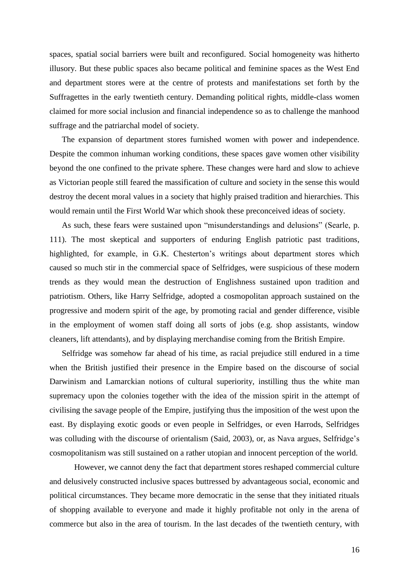spaces, spatial social barriers were built and reconfigured. Social homogeneity was hitherto illusory. But these public spaces also became political and feminine spaces as the West End and department stores were at the centre of protests and manifestations set forth by the Suffragettes in the early twentieth century. Demanding political rights, middle-class women claimed for more social inclusion and financial independence so as to challenge the manhood suffrage and the patriarchal model of society.

The expansion of department stores furnished women with power and independence. Despite the common inhuman working conditions, these spaces gave women other visibility beyond the one confined to the private sphere. These changes were hard and slow to achieve as Victorian people still feared the massification of culture and society in the sense this would destroy the decent moral values in a society that highly praised tradition and hierarchies. This would remain until the First World War which shook these preconceived ideas of society.

As such, these fears were sustained upon "misunderstandings and delusions" (Searle, p. 111). The most skeptical and supporters of enduring English patriotic past traditions, highlighted, for example, in G.K. Chesterton's writings about department stores which caused so much stir in the commercial space of Selfridges, were suspicious of these modern trends as they would mean the destruction of Englishness sustained upon tradition and patriotism. Others, like Harry Selfridge, adopted a cosmopolitan approach sustained on the progressive and modern spirit of the age, by promoting racial and gender difference, visible in the employment of women staff doing all sorts of jobs (e.g. shop assistants, window cleaners, lift attendants), and by displaying merchandise coming from the British Empire.

Selfridge was somehow far ahead of his time, as racial prejudice still endured in a time when the British justified their presence in the Empire based on the discourse of social Darwinism and Lamarckian notions of cultural superiority, instilling thus the white man supremacy upon the colonies together with the idea of the mission spirit in the attempt of civilising the savage people of the Empire, justifying thus the imposition of the west upon the east. By displaying exotic goods or even people in Selfridges, or even Harrods, Selfridges was colluding with the discourse of orientalism (Said, 2003), or, as Nava argues, Selfridge's cosmopolitanism was still sustained on a rather utopian and innocent perception of the world.

However, we cannot deny the fact that department stores reshaped commercial culture and delusively constructed inclusive spaces buttressed by advantageous social, economic and political circumstances. They became more democratic in the sense that they initiated rituals of shopping available to everyone and made it highly profitable not only in the arena of commerce but also in the area of tourism. In the last decades of the twentieth century, with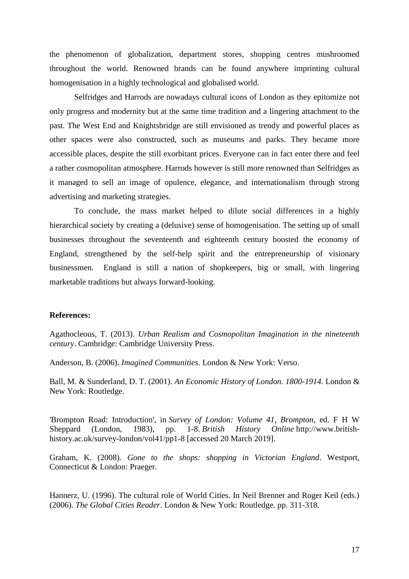the phenomenon of globalization, department stores, shopping centres mushroomed throughout the world. Renowned brands can be found anywhere imprinting cultural homogenisation in a highly technological and globalised world.

Selfridges and Harrods are nowadays cultural icons of London as they epitomize not only progress and modernity but at the same time tradition and a lingering attachment to the past. The West End and Knightsbridge are still envisioned as trendy and powerful places as other spaces were also constructed, such as museums and parks. They became more accessible places, despite the still exorbitant prices. Everyone can in fact enter there and feel a rather cosmopolitan atmosphere. Harrods however is still more renowned than Selfridges as it managed to sell an image of opulence, elegance, and internationalism through strong advertising and marketing strategies.

To conclude, the mass market helped to dilute social differences in a highly hierarchical society by creating a (delusive) sense of homogenisation. The setting up of small businesses throughout the seventeenth and eighteenth century boosted the economy of England, strengthened by the self-help spirit and the entrepreneurship of visionary businessmen. England is still a nation of shopkeepers, big or small, with lingering marketable traditions but always forward-looking.

## **References:**

Agathocleous, T. (2013). *Urban Realism and Cosmopolitan Imagination in the nineteenth century*. Cambridge: Cambridge University Press.

Anderson, B. (2006). *Imagined Communities*. London & New York: Verso.

Ball, M. & Sunderland, D. T. (2001). *An Economic History of London. 1800-1914*. London & New York: Routledge.

'Brompton Road: Introduction', in *Survey of London: Volume 41, Brompton*, ed. F H W Sheppard (London, 1983), pp. 1-8. *British History Online* http://www.britishhistory.ac.uk/survey-london/vol41/pp1-8 [accessed 20 March 2019].

Graham, K. (2008). *Gone to the shops: shopping in Victorian England*. Westport, Connecticut & London: Praeger.

Hannerz, U. (1996). The cultural role of World Cities. In Neil Brenner and Roger Keil (eds.) (2006). *The Global Cities Reader*. London & New York: Routledge. pp. 311-318.